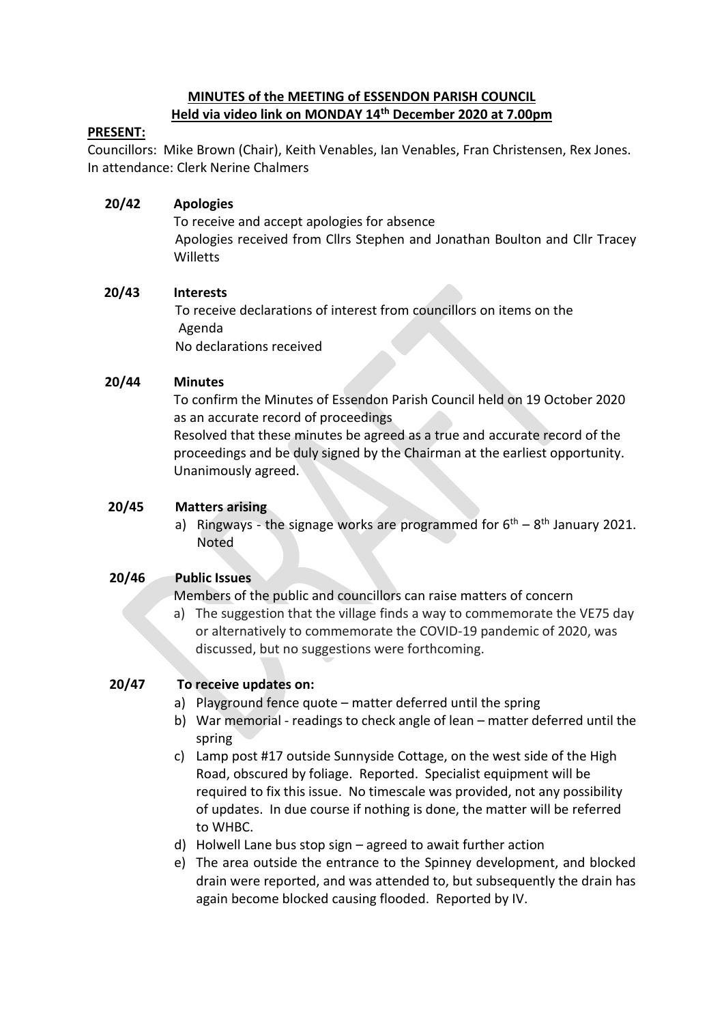### **MINUTES of the MEETING of ESSENDON PARISH COUNCIL Held via video link on MONDAY 14th December 2020 at 7.00pm**

### **PRESENT:**

Councillors: Mike Brown (Chair), Keith Venables, Ian Venables, Fran Christensen, Rex Jones. In attendance: Clerk Nerine Chalmers

# **20/42 Apologies**

To receive and accept apologies for absence Apologies received from Cllrs Stephen and Jonathan Boulton and Cllr Tracey Willetts

## **20/43 Interests**

To receive declarations of interest from councillors on items on the Agenda No declarations received

## **20/44 Minutes**

 To confirm the Minutes of Essendon Parish Council held on 19 October 2020 as an accurate record of proceedings

Resolved that these minutes be agreed as a true and accurate record of the proceedings and be duly signed by the Chairman at the earliest opportunity. Unanimously agreed.

## **20/45 Matters arising**

a) Ringways - the signage works are programmed for  $6<sup>th</sup> - 8<sup>th</sup>$  January 2021. Noted

### **20/46 Public Issues**

Members of the public and councillors can raise matters of concern

a) The suggestion that the village finds a way to commemorate the VE75 day or alternatively to commemorate the COVID-19 pandemic of 2020, was discussed, but no suggestions were forthcoming.

# **20/47 To receive updates on:**

- a) Playground fence quote matter deferred until the spring
- b) War memorial readings to check angle of lean matter deferred until the spring
- c) Lamp post #17 outside Sunnyside Cottage, on the west side of the High Road, obscured by foliage. Reported. Specialist equipment will be required to fix this issue. No timescale was provided, not any possibility of updates. In due course if nothing is done, the matter will be referred to WHBC.
- d) Holwell Lane bus stop sign agreed to await further action
- e) The area outside the entrance to the Spinney development, and blocked drain were reported, and was attended to, but subsequently the drain has again become blocked causing flooded. Reported by IV.